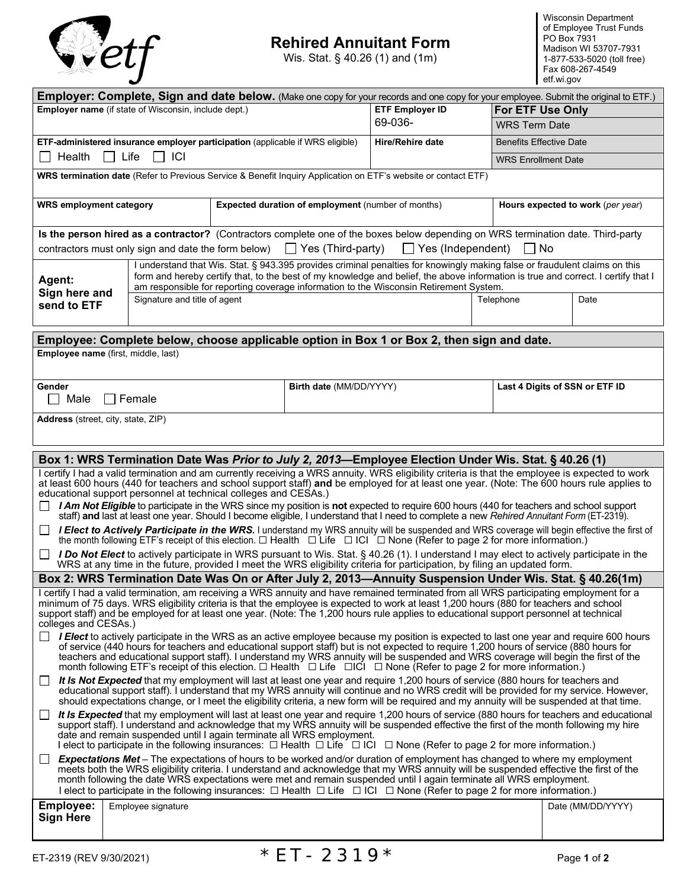

# **Rehired Annuitant Form 1998** PO Box 7931 **Madison WI 53707-7931**<br>
Wis. Stat. § 40.26 (1) and (1m) 1-877-533-5020 (toll free)

Wis. Stat. § 40.26 (1) and  $(1m)$ 

| <b>Employer: Complete, Sign and date below.</b> (Make one copy for your records and one copy for your employee. Submit the original to ETF.)                                                                                                                                                                                                                                                                                                                                                                                                                          |                                                                                                                                                                                                                                                                                                                                                                                                                          |  |                                                           |                                                                                                                           |                            |                                                                                                                                           |  |
|-----------------------------------------------------------------------------------------------------------------------------------------------------------------------------------------------------------------------------------------------------------------------------------------------------------------------------------------------------------------------------------------------------------------------------------------------------------------------------------------------------------------------------------------------------------------------|--------------------------------------------------------------------------------------------------------------------------------------------------------------------------------------------------------------------------------------------------------------------------------------------------------------------------------------------------------------------------------------------------------------------------|--|-----------------------------------------------------------|---------------------------------------------------------------------------------------------------------------------------|----------------------------|-------------------------------------------------------------------------------------------------------------------------------------------|--|
| Employer name (if state of Wisconsin, include dept.)                                                                                                                                                                                                                                                                                                                                                                                                                                                                                                                  |                                                                                                                                                                                                                                                                                                                                                                                                                          |  | <b>ETF Employer ID</b>                                    |                                                                                                                           | <b>For ETF Use Only</b>    |                                                                                                                                           |  |
|                                                                                                                                                                                                                                                                                                                                                                                                                                                                                                                                                                       |                                                                                                                                                                                                                                                                                                                                                                                                                          |  | 69-036-                                                   | <b>WRS Term Date</b>                                                                                                      |                            |                                                                                                                                           |  |
| ETF-administered insurance employer participation (applicable if WRS eligible)                                                                                                                                                                                                                                                                                                                                                                                                                                                                                        |                                                                                                                                                                                                                                                                                                                                                                                                                          |  |                                                           | <b>Hire/Rehire date</b>                                                                                                   |                            | <b>Benefits Effective Date</b>                                                                                                            |  |
| ICI<br>Health<br>Life                                                                                                                                                                                                                                                                                                                                                                                                                                                                                                                                                 |                                                                                                                                                                                                                                                                                                                                                                                                                          |  |                                                           |                                                                                                                           | <b>WRS Enrollment Date</b> |                                                                                                                                           |  |
| WRS termination date (Refer to Previous Service & Benefit Inquiry Application on ETF's website or contact ETF)                                                                                                                                                                                                                                                                                                                                                                                                                                                        |                                                                                                                                                                                                                                                                                                                                                                                                                          |  |                                                           |                                                                                                                           |                            |                                                                                                                                           |  |
| <b>WRS employment category</b>                                                                                                                                                                                                                                                                                                                                                                                                                                                                                                                                        |                                                                                                                                                                                                                                                                                                                                                                                                                          |  | <b>Expected duration of employment (number of months)</b> |                                                                                                                           |                            | Hours expected to work (per year)                                                                                                         |  |
| Is the person hired as a contractor? (Contractors complete one of the boxes below depending on WRS termination date. Third-party                                                                                                                                                                                                                                                                                                                                                                                                                                      |                                                                                                                                                                                                                                                                                                                                                                                                                          |  |                                                           |                                                                                                                           |                            |                                                                                                                                           |  |
| $\Box$ Yes (Third-party)<br>    No<br>contractors must only sign and date the form below)<br>$\Box$ Yes (Independent)                                                                                                                                                                                                                                                                                                                                                                                                                                                 |                                                                                                                                                                                                                                                                                                                                                                                                                          |  |                                                           |                                                                                                                           |                            |                                                                                                                                           |  |
| Agent:<br>Sign here and<br>send to ETF                                                                                                                                                                                                                                                                                                                                                                                                                                                                                                                                | I understand that Wis. Stat. § 943.395 provides criminal penalties for knowingly making false or fraudulent claims on this<br>form and hereby certify that, to the best of my knowledge and belief, the above information is true and correct. I certify that I<br>am responsible for reporting coverage information to the Wisconsin Retirement System.<br>Signature and title of agent<br>Telephone<br>Date            |  |                                                           |                                                                                                                           |                            |                                                                                                                                           |  |
|                                                                                                                                                                                                                                                                                                                                                                                                                                                                                                                                                                       |                                                                                                                                                                                                                                                                                                                                                                                                                          |  |                                                           |                                                                                                                           |                            |                                                                                                                                           |  |
|                                                                                                                                                                                                                                                                                                                                                                                                                                                                                                                                                                       |                                                                                                                                                                                                                                                                                                                                                                                                                          |  |                                                           | Employee: Complete below, choose applicable option in Box 1 or Box 2, then sign and date.                                 |                            |                                                                                                                                           |  |
|                                                                                                                                                                                                                                                                                                                                                                                                                                                                                                                                                                       | Employee name (first, middle, last)                                                                                                                                                                                                                                                                                                                                                                                      |  |                                                           |                                                                                                                           |                            |                                                                                                                                           |  |
| Gender<br>Male                                                                                                                                                                                                                                                                                                                                                                                                                                                                                                                                                        | $\Box$ Female                                                                                                                                                                                                                                                                                                                                                                                                            |  | Birth date (MM/DD/YYYY)                                   |                                                                                                                           |                            | Last 4 Digits of SSN or ETF ID                                                                                                            |  |
|                                                                                                                                                                                                                                                                                                                                                                                                                                                                                                                                                                       |                                                                                                                                                                                                                                                                                                                                                                                                                          |  |                                                           |                                                                                                                           |                            |                                                                                                                                           |  |
| Address (street, city, state, ZIP)                                                                                                                                                                                                                                                                                                                                                                                                                                                                                                                                    |                                                                                                                                                                                                                                                                                                                                                                                                                          |  |                                                           |                                                                                                                           |                            |                                                                                                                                           |  |
|                                                                                                                                                                                                                                                                                                                                                                                                                                                                                                                                                                       |                                                                                                                                                                                                                                                                                                                                                                                                                          |  |                                                           |                                                                                                                           |                            |                                                                                                                                           |  |
| Box 1: WRS Termination Date Was Prior to July 2, 2013-Employee Election Under Wis. Stat. § 40.26 (1)<br>I certify I had a valid termination and am currently receiving a WRS annuity. WRS eligibility criteria is that the employee is expected to work<br>at least 600 hours (440 for teachers and school support staff) and be employed for at least one year. (Note: The 600 hours rule applies to<br>educational support personnel at technical colleges and CESAs.)                                                                                              |                                                                                                                                                                                                                                                                                                                                                                                                                          |  |                                                           |                                                                                                                           |                            |                                                                                                                                           |  |
| I Am Not Eligible to participate in the WRS since my position is not expected to require 600 hours (440 for teachers and school support<br>ΙI<br>staff) and last at least one year. Should I become eligible, I understand that I need to complete a new Rehired Annuitant Form (ET-2319).                                                                                                                                                                                                                                                                            |                                                                                                                                                                                                                                                                                                                                                                                                                          |  |                                                           |                                                                                                                           |                            |                                                                                                                                           |  |
| I Elect to Actively Participate in the WRS. I understand my WRS annuity will be suspended and WRS coverage will begin effective the first of<br>the month following ETF's receipt of this election. □ Health □ Life □ ICI □ None (Refer to page 2 for more information.)                                                                                                                                                                                                                                                                                              |                                                                                                                                                                                                                                                                                                                                                                                                                          |  |                                                           |                                                                                                                           |                            |                                                                                                                                           |  |
| $\mathsf{L}$                                                                                                                                                                                                                                                                                                                                                                                                                                                                                                                                                          |                                                                                                                                                                                                                                                                                                                                                                                                                          |  |                                                           | WRS at any time in the future, provided I meet the WRS eligibility criteria for participation, by filing an updated form. |                            | I Do Not Elect to actively participate in WRS pursuant to Wis. Stat. § 40.26 (1). I understand I may elect to actively participate in the |  |
| Box 2: WRS Termination Date Was On or After July 2, 2013—Annuity Suspension Under Wis. Stat. § 40.26(1m)                                                                                                                                                                                                                                                                                                                                                                                                                                                              |                                                                                                                                                                                                                                                                                                                                                                                                                          |  |                                                           |                                                                                                                           |                            |                                                                                                                                           |  |
| I certify I had a valid termination, am receiving a WRS annuity and have remained terminated from all WRS participating employment for a<br>minimum of 75 days. WRS eligibility criteria is that the employee is expected to work at least 1,200 hours (880 for teachers and school<br>support staff) and be employed for at least one year. (Note: The 1,200 hours rule applies to educational support personnel at technical<br>colleges and CESAs.)                                                                                                                |                                                                                                                                                                                                                                                                                                                                                                                                                          |  |                                                           |                                                                                                                           |                            |                                                                                                                                           |  |
| □ I Elect to actively participate in the WRS as an active employee because my position is expected to last one year and require 600 hours<br>of service (440 hours for teachers and educational support staff) but is not expected to require 1,200 hours of service (880 hours for<br>teachers and educational support staff). I understand my WRS annuity will be suspended and WRS coverage will begin the first of the<br>month following ETF's receipt of this election. $\Box$ Health $\Box$ Life $\Box$ CI $\Box$ None (Refer to page 2 for more information.) |                                                                                                                                                                                                                                                                                                                                                                                                                          |  |                                                           |                                                                                                                           |                            |                                                                                                                                           |  |
| ப                                                                                                                                                                                                                                                                                                                                                                                                                                                                                                                                                                     | It Is Not Expected that my employment will last at least one year and require 1,200 hours of service (880 hours for teachers and<br>educational support staff). I understand that my WRS annuity will continue and no WRS credit will be provided for my service. However,<br>should expectations change, or I meet the eligibility criteria, a new form will be required and my annuity will be suspended at that time. |  |                                                           |                                                                                                                           |                            |                                                                                                                                           |  |
| It Is Expected that my employment will last at least one year and require 1,200 hours of service (880 hours for teachers and educational<br>$\Box$<br>support staff). I understand and acknowledge that my WRS annuity will be suspended effective the first of the month following my hire<br>date and remain suspended until I again terminate all WRS employment.<br>I elect to participate in the following insurances: $\Box$ Health $\Box$ Life $\Box$ ICI $\Box$ None (Refer to page 2 for more information.)                                                  |                                                                                                                                                                                                                                                                                                                                                                                                                          |  |                                                           |                                                                                                                           |                            |                                                                                                                                           |  |
| Expectations Met - The expectations of hours to be worked and/or duration of employment has changed to where my employment<br>meets both the WRS eligibility criteria. I understand and acknowledge that my WRS annuity will be suspended effective the first of the<br>month following the date WRS expectations were met and remain suspended until I again terminate all WRS employment.<br>I elect to participate in the following insurances: $\Box$ Health $\Box$ Life $\Box$ ICI $\Box$ None (Refer to page 2 for more information.)                           |                                                                                                                                                                                                                                                                                                                                                                                                                          |  |                                                           |                                                                                                                           |                            |                                                                                                                                           |  |
| <b>Employee:</b>                                                                                                                                                                                                                                                                                                                                                                                                                                                                                                                                                      | Employee signature                                                                                                                                                                                                                                                                                                                                                                                                       |  |                                                           |                                                                                                                           |                            | Date (MM/DD/YYYY)                                                                                                                         |  |
| <b>Sign Here</b>                                                                                                                                                                                                                                                                                                                                                                                                                                                                                                                                                      |                                                                                                                                                                                                                                                                                                                                                                                                                          |  |                                                           |                                                                                                                           |                            |                                                                                                                                           |  |
|                                                                                                                                                                                                                                                                                                                                                                                                                                                                                                                                                                       |                                                                                                                                                                                                                                                                                                                                                                                                                          |  |                                                           |                                                                                                                           |                            |                                                                                                                                           |  |